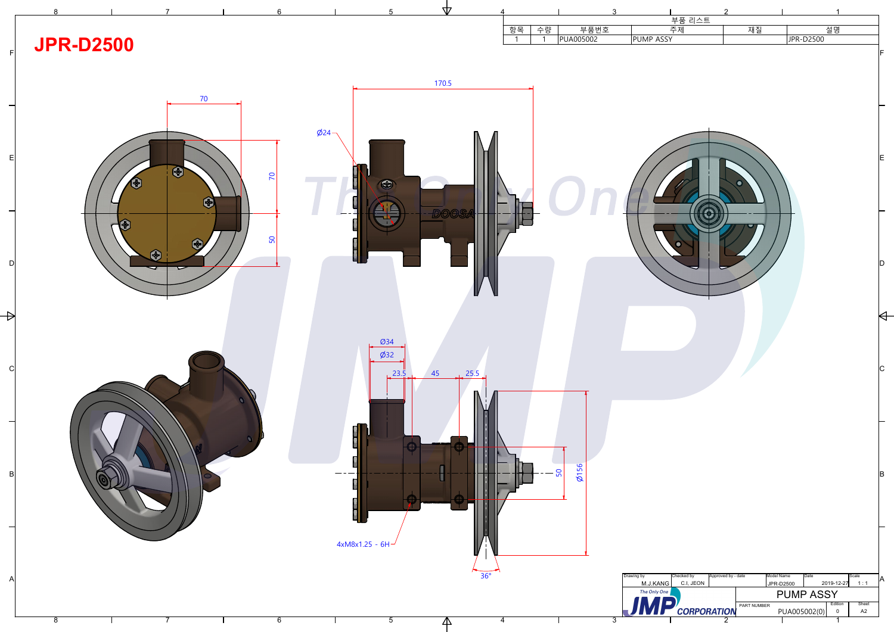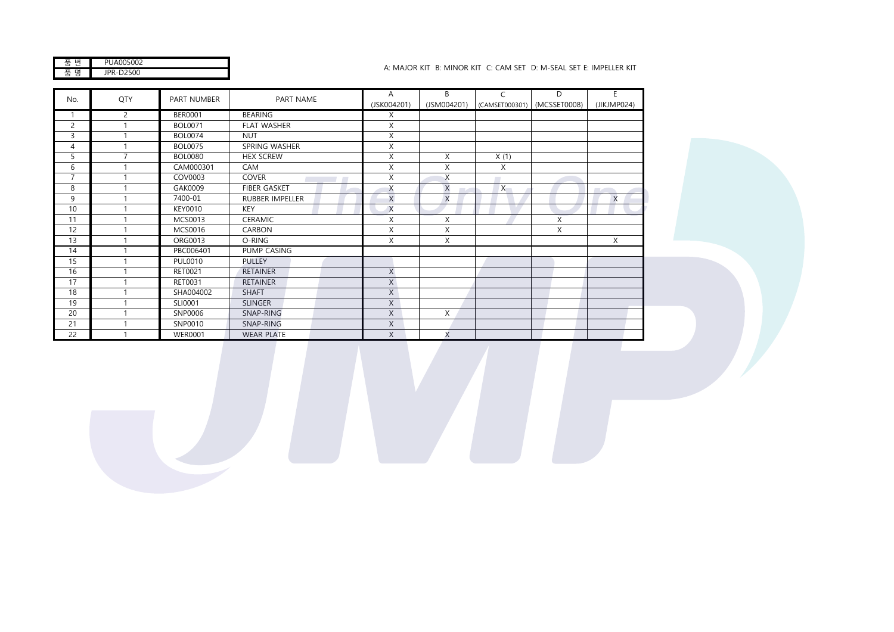| NN5NN2                             |
|------------------------------------|
| $\sim$ $\frac{1}{2500}$<br>. ا - ' |

## A: MAJOR KIT B: MINOR KIT C: CAM SET D: M-SEAL SET E: IMPELLER KIT

|                | QTY<br>No.     | PART NUMBER<br>PART NAME |                        | A           | B.       | C                           | D           | E        |
|----------------|----------------|--------------------------|------------------------|-------------|----------|-----------------------------|-------------|----------|
|                |                |                          | (JSK004201)            | (JSM004201) |          | (CAMSET000301) (MCSSET0008) | (JIKJMP024) |          |
|                | 2              | <b>BER0001</b>           | <b>BEARING</b>         | X           |          |                             |             |          |
| $\overline{2}$ |                | <b>BOL0071</b>           | <b>FLAT WASHER</b>     | X           |          |                             |             |          |
| 3              |                | <b>BOL0074</b>           | <b>NUT</b>             | X           |          |                             |             |          |
| 4              |                | <b>BOL0075</b>           | SPRING WASHER          | X           |          |                             |             |          |
| 5              | $\overline{7}$ | <b>BOL0080</b>           | <b>HEX SCREW</b>       | X           | X        | X(1)                        |             |          |
| 6              |                | CAM000301                | CAM                    | X           | X        | X                           |             |          |
| $\overline{7}$ |                | COV0003                  | <b>COVER</b>           | X           | $\times$ | <b>Contract</b>             |             |          |
| 8              |                | GAK0009                  | <b>FIBER GASKET</b>    | X           | $\times$ | $\times$                    |             |          |
| 9              |                | 7400-01                  | <b>RUBBER IMPELLER</b> | X           | $\times$ |                             |             | $\times$ |
| 10             |                | <b>KEY0010</b>           | <b>KEY</b>             | $\times$    |          |                             |             |          |
| 11             |                | MCS0013                  | <b>CERAMIC</b>         | X           | X        |                             | X           |          |
| 12             |                | MCS0016                  | <b>CARBON</b>          | X           | X        |                             | X           |          |
| 13             |                | ORG0013                  | O-RING                 | X           | X        |                             |             | Χ        |
| 14             |                | PBC006401                | PUMP CASING            |             |          |                             |             |          |
| 15             |                | <b>PUL0010</b>           | <b>PULLEY</b>          |             |          |                             |             |          |
| 16             |                | RET0021                  | <b>RETAINER</b>        | X           |          |                             |             |          |
| 17             |                | RET0031                  | <b>RETAINER</b>        | X           |          |                             |             |          |
| 18             |                | SHA004002                | <b>SHAFT</b>           | X           |          |                             |             |          |
| 19             |                | SLI0001                  | <b>SLINGER</b>         | X           |          |                             |             |          |
| 20             |                | SNP0006                  | SNAP-RING              | X           | X        |                             |             |          |
| 21             |                | SNP0010                  | SNAP-RING              | Χ           |          |                             |             |          |
| 22             |                | <b>WER0001</b>           | <b>WEAR PLATE</b>      | X           | X        |                             |             |          |